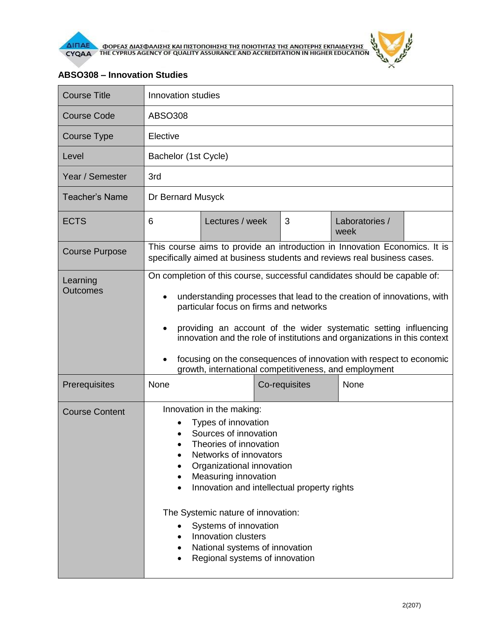

## $\theta$

## **ABSO308 – Innovation Studies**

| <b>Course Title</b>         | Innovation studies                                                                                                                                                                                                                                                                                                                                                                                                                                                                                       |                 |  |               |                        |  |
|-----------------------------|----------------------------------------------------------------------------------------------------------------------------------------------------------------------------------------------------------------------------------------------------------------------------------------------------------------------------------------------------------------------------------------------------------------------------------------------------------------------------------------------------------|-----------------|--|---------------|------------------------|--|
| <b>Course Code</b>          | <b>ABSO308</b>                                                                                                                                                                                                                                                                                                                                                                                                                                                                                           |                 |  |               |                        |  |
| <b>Course Type</b>          | Elective                                                                                                                                                                                                                                                                                                                                                                                                                                                                                                 |                 |  |               |                        |  |
| Level                       | Bachelor (1st Cycle)                                                                                                                                                                                                                                                                                                                                                                                                                                                                                     |                 |  |               |                        |  |
| Year / Semester             | 3rd                                                                                                                                                                                                                                                                                                                                                                                                                                                                                                      |                 |  |               |                        |  |
| <b>Teacher's Name</b>       | Dr Bernard Musyck                                                                                                                                                                                                                                                                                                                                                                                                                                                                                        |                 |  |               |                        |  |
| <b>ECTS</b>                 | 6                                                                                                                                                                                                                                                                                                                                                                                                                                                                                                        | Lectures / week |  | 3             | Laboratories /<br>week |  |
| <b>Course Purpose</b>       | This course aims to provide an introduction in Innovation Economics. It is<br>specifically aimed at business students and reviews real business cases.                                                                                                                                                                                                                                                                                                                                                   |                 |  |               |                        |  |
| Learning<br><b>Outcomes</b> | On completion of this course, successful candidates should be capable of:<br>understanding processes that lead to the creation of innovations, with<br>$\bullet$<br>particular focus on firms and networks<br>providing an account of the wider systematic setting influencing<br>innovation and the role of institutions and organizations in this context<br>focusing on the consequences of innovation with respect to economic<br>$\bullet$<br>growth, international competitiveness, and employment |                 |  |               |                        |  |
| Prerequisites               | None                                                                                                                                                                                                                                                                                                                                                                                                                                                                                                     |                 |  | Co-requisites | None                   |  |
| <b>Course Content</b>       | Innovation in the making:<br>Types of innovation<br>Sources of innovation<br>Theories of innovation<br>Networks of innovators<br>Organizational innovation<br>Measuring innovation<br>Innovation and intellectual property rights<br>The Systemic nature of innovation:<br>Systems of innovation<br>Innovation clusters<br>National systems of innovation<br>٠<br>Regional systems of innovation                                                                                                         |                 |  |               |                        |  |